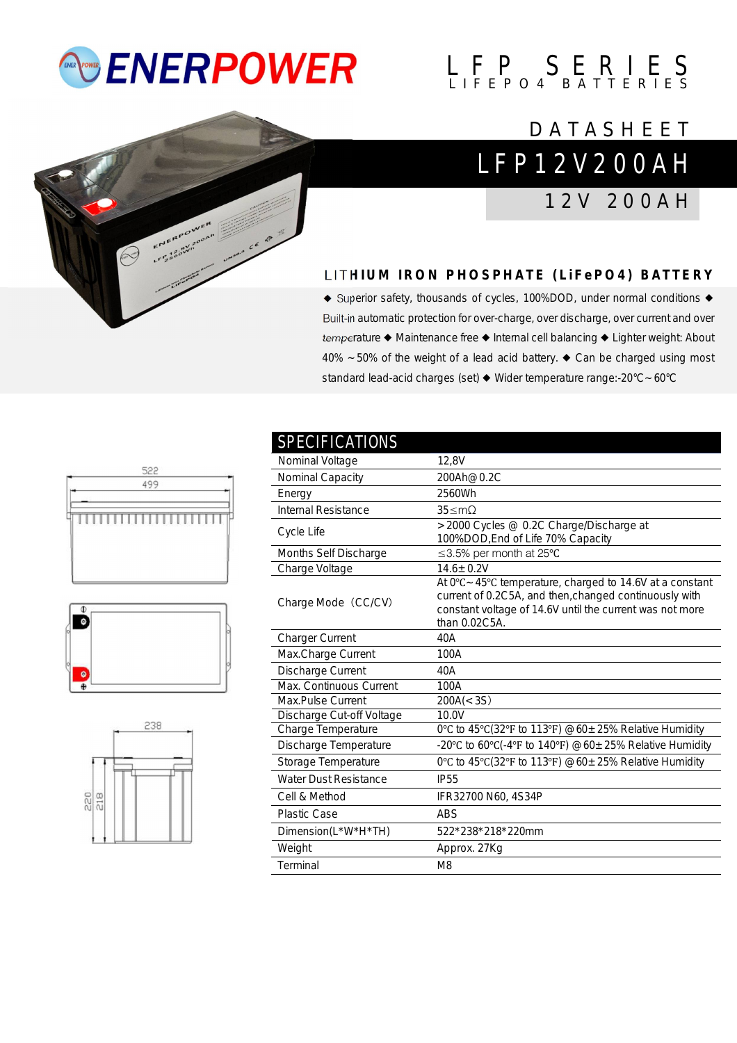## *<b>ENERPOWER*

# $L$   $F$   $P$   $S$   $E$   $R$   $I$   $E$   $S$



### L F P 1 2 V 2 0 0 A H **DATASHEET**

1 2 V 2 0 0 A H

### **L I T H I U M I R O N P H O S P H A T E ( L i F e P O 4 ) B A T T E R Y**

◆ Superior safety, thousands of cycles, 100%DOD, under normal conditions ◆ Built-in automatic protection for over-charge, over discharge, over current and over temperature ◆ Maintenance free ◆ Internal cell balancing ◆ Lighter weight: About 40% ~50% of the weight of a lead acid battery. ◆ Can be charged using most standard lead-acid charges (set) ◆ Wider temperature range:-20°C~60°C







| <b>SPECIFICATIONS</b>        |                                                                                                                                                                                                            |
|------------------------------|------------------------------------------------------------------------------------------------------------------------------------------------------------------------------------------------------------|
| Nominal Voltage              | 12,8V                                                                                                                                                                                                      |
| Nominal Capacity             | 200Ah@0.2C                                                                                                                                                                                                 |
| Energy                       | 2560Wh                                                                                                                                                                                                     |
| <b>Internal Resistance</b>   | $35 \leq mQ$                                                                                                                                                                                               |
| Cycle Life                   | >2000 Cycles @ 0.2C Charge/Discharge at<br>100%DOD, End of Life 70% Capacity                                                                                                                               |
| Months Self Discharge        | ≤3.5% per month at 25°C                                                                                                                                                                                    |
| Charge Voltage               | $14.6 \pm 0.2V$                                                                                                                                                                                            |
| Charge Mode (CC/CV)          | At $0^{\circ}$ C ~ 45°C temperature, charged to 14.6V at a constant<br>current of 0.2C5A, and then, changed continuously with<br>constant voltage of 14.6V until the current was not more<br>than 0.02C5A. |
| <b>Charger Current</b>       | 40A                                                                                                                                                                                                        |
| Max.Charge Current           | 100A                                                                                                                                                                                                       |
| Discharge Current            | 40A                                                                                                                                                                                                        |
| Max. Continuous Current      | 100A                                                                                                                                                                                                       |
| Max.Pulse Current            | 200A(< 3S)                                                                                                                                                                                                 |
| Discharge Cut-off Voltage    | 10.0V                                                                                                                                                                                                      |
| Charge Temperature           | 0°C to 45°C(32°F to 113°F) $@60 \pm 25\%$ Relative Humidity                                                                                                                                                |
| Discharge Temperature        | -20°C to 60°C(-4°F to 140°F) @60 $\pm$ 25% Relative Humidity                                                                                                                                               |
| Storage Temperature          | 0°C to 45°C(32°F to 113°F) $@60 \pm 25\%$ Relative Humidity                                                                                                                                                |
| <b>Water Dust Resistance</b> | <b>IP55</b>                                                                                                                                                                                                |
| Cell & Method                | IFR32700 N60, 4S34P                                                                                                                                                                                        |
| <b>Plastic Case</b>          | <b>ABS</b>                                                                                                                                                                                                 |
| Dimension(L*W*H*TH)          | 522*238*218*220mm                                                                                                                                                                                          |
| Weight                       | Approx. 27Kg                                                                                                                                                                                               |
| Terminal                     | M <sub>8</sub>                                                                                                                                                                                             |